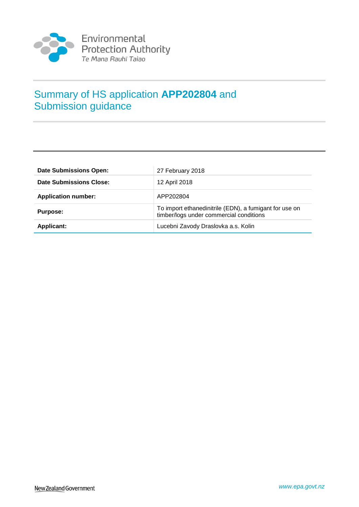

# Summary of HS application **APP202804** and Submission guidance

| <b>Date Submissions Open:</b> | 27 February 2018                                                                                  |  |
|-------------------------------|---------------------------------------------------------------------------------------------------|--|
| Date Submissions Close:       | 12 April 2018                                                                                     |  |
| <b>Application number:</b>    | APP202804                                                                                         |  |
| Purpose:                      | To import ethanedinitrile (EDN), a fumigant for use on<br>timber/logs under commercial conditions |  |
| <b>Applicant:</b>             | Lucebni Zavody Draslovka a.s. Kolin                                                               |  |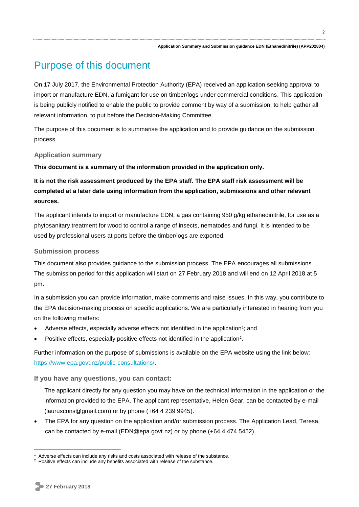## Purpose of this document

On 17 July 2017, the Environmental Protection Authority (EPA) received an application seeking approval to import or manufacture EDN, a fumigant for use on timber/logs under commercial conditions. This application is being publicly notified to enable the public to provide comment by way of a submission, to help gather all relevant information, to put before the Decision-Making Committee.

The purpose of this document is to summarise the application and to provide guidance on the submission process.

#### **Application summary**

**This document is a summary of the information provided in the application only.** 

**It is not the risk assessment produced by the EPA staff. The EPA staff risk assessment will be completed at a later date using information from the application, submissions and other relevant sources.**

The applicant intends to import or manufacture EDN, a gas containing 950 g/kg ethanedinitrile, for use as a phytosanitary treatment for wood to control a range of insects, nematodes and fungi. It is intended to be used by professional users at ports before the timber/logs are exported.

#### **Submission process**

This document also provides guidance to the submission process. The EPA encourages all submissions. The submission period for this application will start on 27 February 2018 and will end on 12 April 2018 at 5 pm.

In a submission you can provide information, make comments and raise issues. In this way, you contribute to the EPA decision-making process on specific applications. We are particularly interested in hearing from you on the following matters:

- Adverse effects, especially adverse effects not identified in the application<sup>1</sup>; and
- Positive effects, especially positive effects not identified in the application<sup>2</sup>.

Further information on the purpose of submissions is available on the EPA website using the link below: [https://www.epa.govt.nz/public-consultations/.](https://www.epa.govt.nz/public-consultations/)

**If you have any questions, you can contact:**

The applicant directly for any question you may have on the technical information in the application or the information provided to the EPA. The applicant representative, Helen Gear, can be contacted by e-mail (lauruscons@gmail.com) or by phone (+64 4 239 9945).

 The EPA for any question on the application and/or submission process. The Application Lead, Teresa, can be contacted by e-mail (EDN@epa.govt.nz) or by phone (+64 4 474 5452).

1

Adverse effects can include any risks and costs associated with release of the substance.

<sup>&</sup>lt;sup>2</sup> Positive effects can include any benefits associated with release of the substance.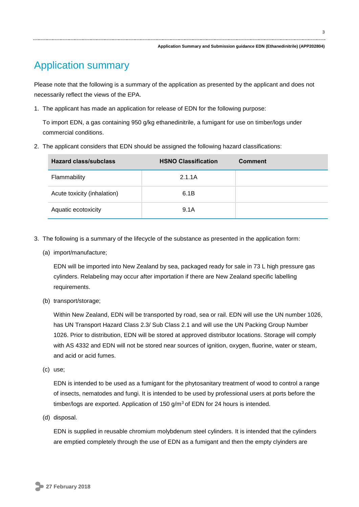# Application summary

Please note that the following is a summary of the application as presented by the applicant and does not necessarily reflect the views of the EPA.

1. The applicant has made an application for release of EDN for the following purpose:

To import EDN, a gas containing 950 g/kg ethanedinitrile, a fumigant for use on timber/logs under commercial conditions.

2. The applicant considers that EDN should be assigned the following hazard classifications:

| <b>Hazard class/subclass</b> | <b>HSNO Classification</b> | <b>Comment</b> |
|------------------------------|----------------------------|----------------|
| Flammability                 | 2.1.1A                     |                |
| Acute toxicity (inhalation)  | 6.1B                       |                |
| Aquatic ecotoxicity          | 9.1A                       |                |

- 3. The following is a summary of the lifecycle of the substance as presented in the application form:
	- (a) import/manufacture;

EDN will be imported into New Zealand by sea, packaged ready for sale in 73 L high pressure gas cylinders. Relabeling may occur after importation if there are New Zealand specific labelling requirements.

(b) transport/storage;

Within New Zealand, EDN will be transported by road, sea or rail. EDN will use the UN number 1026, has UN Transport Hazard Class 2.3/ Sub Class 2.1 and will use the UN Packing Group Number 1026. Prior to distribution, EDN will be stored at approved distributor locations. Storage will comply with AS 4332 and EDN will not be stored near sources of ignition, oxygen, fluorine, water or steam, and acid or acid fumes.

(c) use;

EDN is intended to be used as a fumigant for the phytosanitary treatment of wood to control a range of insects, nematodes and fungi. It is intended to be used by professional users at ports before the timber/logs are exported. Application of 150  $g/m<sup>3</sup>$  of EDN for 24 hours is intended.

(d) disposal.

EDN is supplied in reusable chromium molybdenum steel cylinders. It is intended that the cylinders are emptied completely through the use of EDN as a fumigant and then the empty clyinders are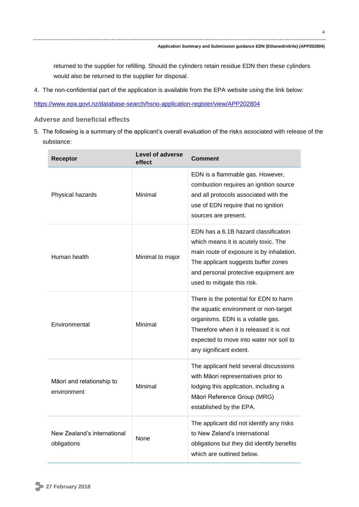returned to the supplier for refilling. Should the cylinders retain residue EDN then these cylinders would also be returned to the supplier for disposal.

4. The non-confidential part of the application is available from the EPA website using the link below:

<https://www.epa.govt.nz/database-search/hsno-application-register/view/APP202804>

#### **Adverse and beneficial effects**

5. The following is a summary of the applicant's overall evaluation of the risks associated with release of the substance:

| Receptor                                   | <b>Level of adverse</b><br>effect | <b>Comment</b>                                                                                                                                                                                                                          |
|--------------------------------------------|-----------------------------------|-----------------------------------------------------------------------------------------------------------------------------------------------------------------------------------------------------------------------------------------|
| Physical hazards                           | Minimal                           | EDN is a flammable gas. However,<br>combustion requires an ignition source<br>and all protocols associated with the<br>use of EDN require that no ignition<br>sources are present.                                                      |
| Human health                               | Minimal to major                  | EDN has a 6.1B hazard classification<br>which means it is acutely toxic. The<br>main route of exposure is by inhalation.<br>The applicant suggests buffer zones<br>and personal protective equipment are<br>used to mitigate this risk. |
| Environmental                              | Minimal                           | There is the potential for EDN to harm<br>the aquatic environment or non-target<br>organisms. EDN is a volatile gas.<br>Therefore when it is released it is not<br>expected to move into water nor soil to<br>any significant extent.   |
| Māori and relationship to<br>environment   | Minimal                           | The applicant held several discussions<br>with Māori representatives prior to<br>lodging this application, including a<br>Māori Reference Group (MRG)<br>established by the EPA.                                                        |
| New Zealand's international<br>obligations | <b>None</b>                       | The applicant did not identify any risks<br>to New Zeland's international<br>obligations but they did identify benefits<br>which are outlined below.                                                                                    |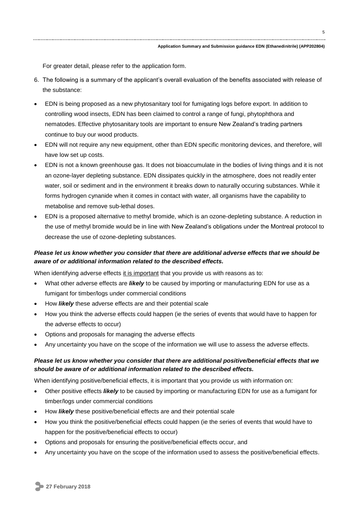For greater detail, please refer to the application form.

- 6. The following is a summary of the applicant's overall evaluation of the benefits associated with release of the substance:
- EDN is being proposed as a new phytosanitary tool for fumigating logs before export. In addition to controlling wood insects, EDN has been claimed to control a range of fungi, phytophthora and nematodes. Effective phytosanitary tools are important to ensure New Zealand's trading partners continue to buy our wood products.
- EDN will not require any new equipment, other than EDN specific monitoring devices, and therefore, will have low set up costs.
- EDN is not a known greenhouse gas. It does not bioaccumulate in the bodies of living things and it is not an ozone-layer depleting substance. EDN dissipates quickly in the atmosphere, does not readily enter water, soil or sediment and in the environment it breaks down to naturally occuring substances. While it forms hydrogen cynanide when it comes in contact with water, all organisms have the capability to metabolise and remove sub-lethal doses.
- EDN is a proposed alternative to methyl bromide, which is an ozone-depleting substance. A reduction in the use of methyl bromide would be in line with New Zealand's obligations under the Montreal protocol to decrease the use of ozone-depleting substances.

#### *Please let us know whether you consider that there are additional adverse effects that we should be aware of or additional information related to the described effects.*

When identifying adverse effects it is important that you provide us with reasons as to:

- What other adverse effects are *likely* to be caused by importing or manufacturing EDN for use as a fumigant for timber/logs under commercial conditions
- How *likely* these adverse effects are and their potential scale
- How you think the adverse effects could happen (ie the series of events that would have to happen for the adverse effects to occur)
- Options and proposals for managing the adverse effects
- Any uncertainty you have on the scope of the information we will use to assess the adverse effects.

#### *Please let us know whether you consider that there are additional positive/beneficial effects that we should be aware of or additional information related to the described effects.*

When identifying positive/beneficial effects, it is important that you provide us with information on:

- Other positive effects *likely* to be caused by importing or manufacturing EDN for use as a fumigant for timber/logs under commercial conditions
- How *likely* these positive/beneficial effects are and their potential scale
- How you think the positive/beneficial effects could happen (ie the series of events that would have to happen for the positive/beneficial effects to occur)
- Options and proposals for ensuring the positive/beneficial effects occur, and
- Any uncertainty you have on the scope of the information used to assess the positive/beneficial effects.